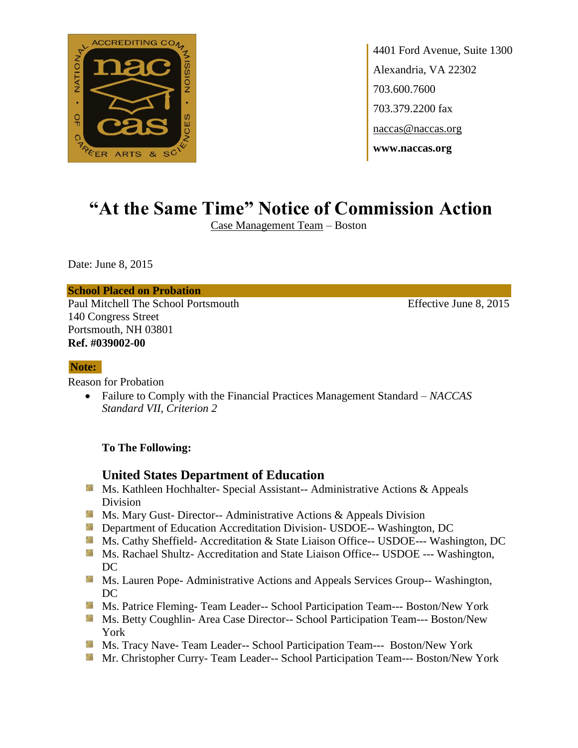

4401 Ford Avenue, Suite 1300 Alexandria, VA 22302 703.600.7600 703.379.2200 fax naccas@naccas.org **www.naccas.org**

# **"At the Same Time" Notice of Commission Action**

Case Management Team – Boston

Date: June 8, 2015

### **School Placed on Probation**

Paul Mitchell The School Portsmouth Effective June 8, 2015 140 Congress Street Portsmouth, NH 03801 **Ref. #039002-00**

#### **Note:**

Reason for Probation

 Failure to Comply with the Financial Practices Management Standard – *NACCAS Standard VII, Criterion 2*

### **To The Following:**

### **United States Department of Education**

- Ms. Kathleen Hochhalter- Special Assistant-- Administrative Actions & Appeals Division
- **Ms. Mary Gust- Director-- Administrative Actions & Appeals Division**
- **Department of Education Accreditation Division- USDOE-- Washington, DC**
- Ms. Cathy Sheffield- Accreditation & State Liaison Office-- USDOE--- Washington, DC
- **MS. Rachael Shultz- Accreditation and State Liaison Office-- USDOE --- Washington,** DC
- **MS. Lauren Pope- Administrative Actions and Appeals Services Group-- Washington,** DC
- **Ms. Patrice Fleming- Team Leader-- School Participation Team--- Boston/New York**
- **Ms. Betty Coughlin-Area Case Director-- School Participation Team--- Boston/New** York
- Ms. Tracy Nave- Team Leader-- School Participation Team--- Boston/New York
- Mr. Christopher Curry- Team Leader-- School Participation Team--- Boston/New York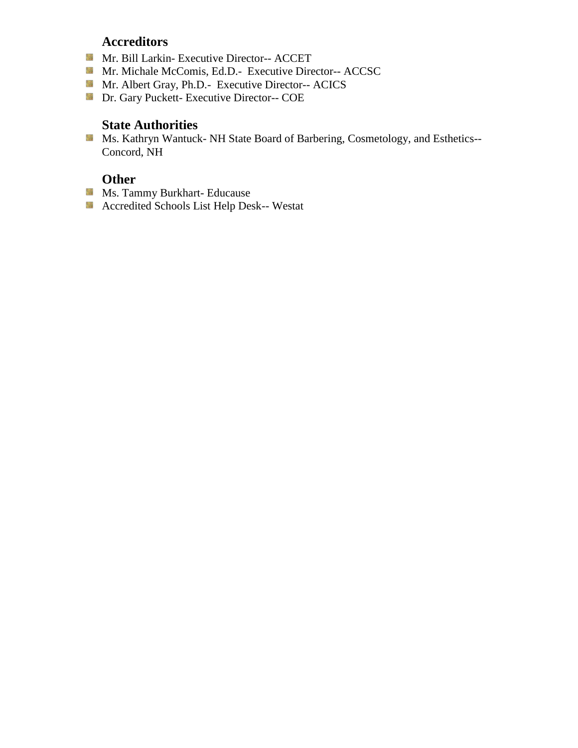## **Accreditors**

- Mr. Bill Larkin- Executive Director-- ACCET
- Mr. Michale McComis, Ed.D.- Executive Director-- ACCSC
- Mr. Albert Gray, Ph.D.- Executive Director-- ACICS
- Dr. Gary Puckett- Executive Director-- COE

## **State Authorities**

Ms. Kathryn Wantuck- NH State Board of Barbering, Cosmetology, and Esthetics--Concord, NH

# **Other**

- **Ms. Tammy Burkhart- Educause**
- Accredited Schools List Help Desk-- Westat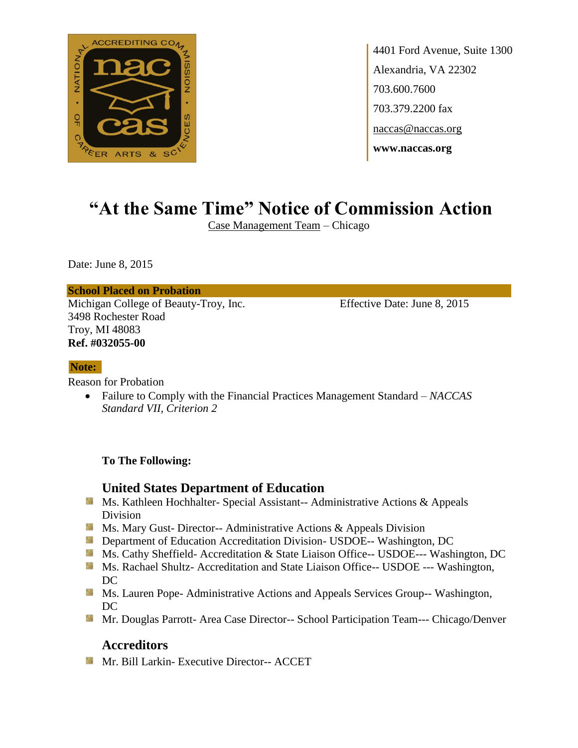

4401 Ford Avenue, Suite 1300 Alexandria, VA 22302 703.600.7600 703.379.2200 fax naccas@naccas.org **www.naccas.org**

# **"At the Same Time" Notice of Commission Action**

Case Management Team – Chicago

Date: June 8, 2015

### **School Placed on Probation**

Michigan College of Beauty-Troy, Inc. Effective Date: June 8, 2015 3498 Rochester Road Troy, MI 48083 **Ref. #032055-00**

### **Note:**

Reason for Probation

 Failure to Comply with the Financial Practices Management Standard – *NACCAS Standard VII, Criterion 2*

**To The Following:**

## **United States Department of Education**

- **Ms. Kathleen Hochhalter- Special Assistant-- Administrative Actions & Appeals** Division
- **MS. Mary Gust- Director-- Administrative Actions & Appeals Division**
- **Department of Education Accreditation Division- USDOE-- Washington, DC**
- Ms. Cathy Sheffield- Accreditation & State Liaison Office-- USDOE--- Washington, DC
- **Ms. Rachael Shultz- Accreditation and State Liaison Office-- USDOE --- Washington,** DC
- **MS. Lauren Pope- Administrative Actions and Appeals Services Group-- Washington,** DC
- Mr. Douglas Parrott- Area Case Director-- School Participation Team--- Chicago/Denver

# **Accreditors**

**Mr. Bill Larkin- Executive Director-- ACCET**